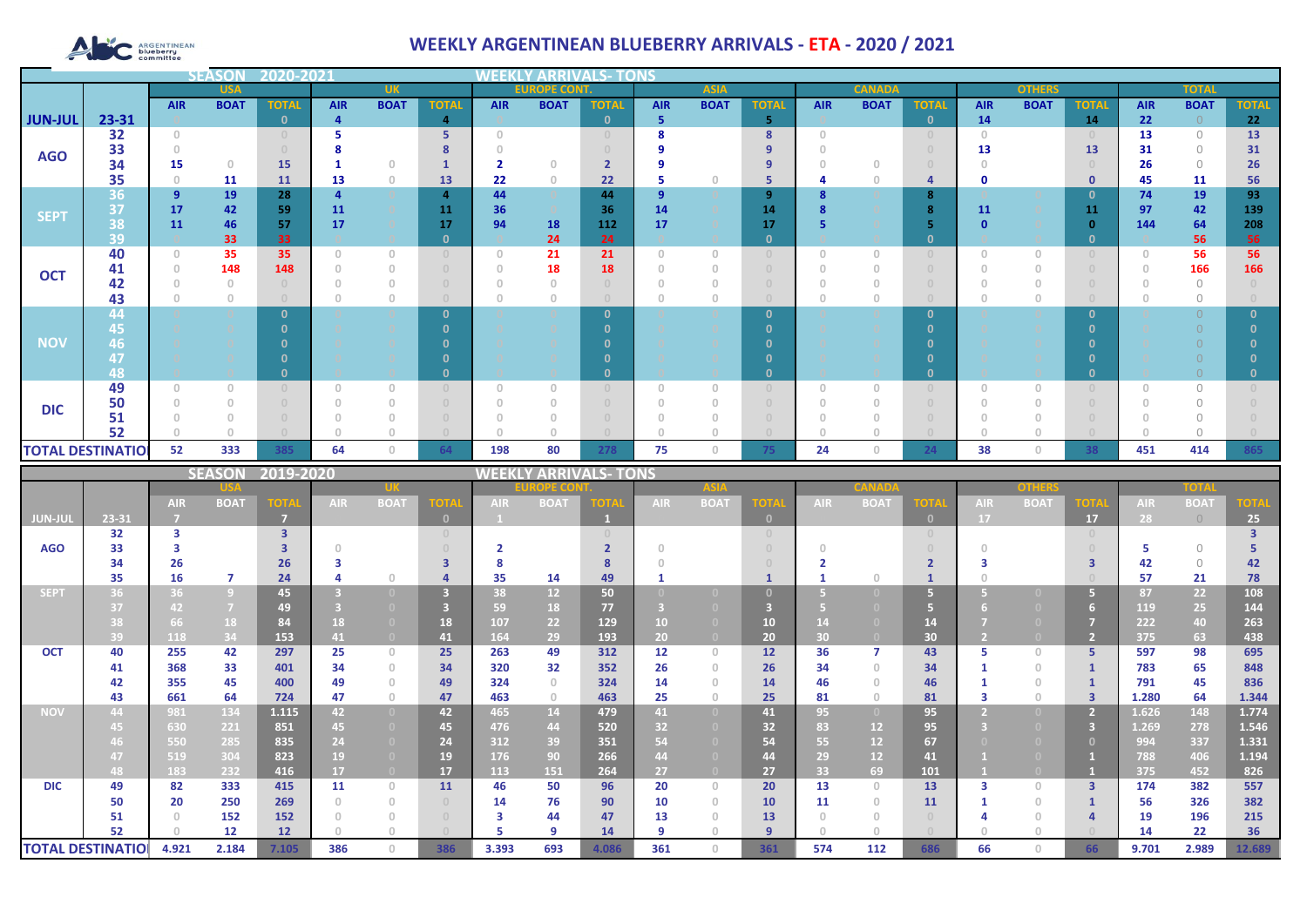# ARGENTINEAN

## **WEEKLY ARGENTINEAN BLUEBERRY ARRIVALS - ETA - 2020 / 2021**

|                |                          |                                       | <b>SEASO</b> | 2020-2021    |            |                                       |                                  |                                       |             |              |                |             |                    |            |               |                                  |                                       |               |              |              |             |              |
|----------------|--------------------------|---------------------------------------|--------------|--------------|------------|---------------------------------------|----------------------------------|---------------------------------------|-------------|--------------|----------------|-------------|--------------------|------------|---------------|----------------------------------|---------------------------------------|---------------|--------------|--------------|-------------|--------------|
|                | <b>USA</b>               |                                       |              | <b>UK</b>    |            |                                       |                                  | <b>EUROPE CONT.</b><br><b>ASIA</b>    |             |              |                |             |                    |            | <b>CANADA</b> |                                  |                                       | <b>OTHERS</b> |              | <b>TOTAL</b> |             |              |
|                |                          | <b>AIR</b>                            | <b>BOAT</b>  | <b>TOTAL</b> | <b>AIR</b> | <b>BOAT</b>                           | <b>TOTAL</b>                     | <b>AIR</b>                            | <b>BOAT</b> | <b>TOTAL</b> | <b>AIR</b>     | <b>BOAT</b> | <b>TOTAL</b>       | <b>AIR</b> | <b>BOAT</b>   | <b>TOTAL</b>                     | <b>AIR</b>                            | <b>BOAT</b>   | <b>TOTAL</b> | <b>AIR</b>   | <b>BOAT</b> | <b>TOTAL</b> |
| <b>JUN-JUL</b> | 23-31                    |                                       |              | $\Omega$     | 4          |                                       | $\overline{4}$                   |                                       |             | $\mathbf{0}$ | 5              |             | 5                  |            |               | $\mathbf{0}$                     | 14                                    |               | 14           | 22           | $\bigcirc$  | 22           |
|                | 32                       | $\begin{array}{c} 0 \\ 0 \end{array}$ |              |              |            |                                       | 5                                | $\Box$                                |             |              | 8              |             | 8                  | $\Box$     |               | $\begin{array}{c} 0 \end{array}$ | $\Omega$                              |               |              | 13           | $\bigcirc$  | 13           |
| <b>AGO</b>     | 33                       |                                       |              |              |            |                                       |                                  |                                       |             |              |                |             | 9                  |            |               |                                  | 13                                    |               | 13           | 31           | $\Omega$    | 31           |
|                | 34                       | 15                                    | $\circ$      | <b>15</b>    |            | $\Omega$                              |                                  | $\overline{\mathbf{2}}$               | $\cap$      |              |                |             | 9                  |            |               |                                  |                                       |               |              | 26           | $\bigcirc$  | 26           |
|                | 35                       | $\circ$                               | 11           | <b>11</b>    | 13         | $\begin{array}{c} 0 \\ 0 \end{array}$ | 13                               | 22                                    | $\circ$     | 22           | 5              | $\Omega$    | 5                  |            |               | $\overline{a}$                   | $\mathbf 0$                           |               | $\mathbf 0$  | 45           | 11          | 56           |
| <b>SEPT</b>    | 36                       | $\overline{9}$                        | 19           | 28           |            |                                       | 4                                | 44                                    |             | 44           | $\overline{9}$ |             | 9                  |            |               | 8                                |                                       |               | 0            | 74           | 19          | 93           |
|                | 37                       | 17                                    | 42           | 59           | 11         |                                       | 11                               | 36                                    |             | 36           | 14             |             | 14                 |            |               | 8                                | <b>11</b>                             |               | 11           | 97           | 42          | 139          |
|                | 38<br>39                 | 11                                    | 46<br>33     | 57<br>33     | 17         |                                       | 17<br>$\mathbf{0}$               | 94                                    | 18<br>24    | 112<br>24    | 17             |             | 17<br>$\mathbf{0}$ |            |               | 5<br>$\mathbf{0}$                |                                       |               | n            | 144          | 64<br>56    | 208<br>56    |
|                | 40                       | $\circ$                               | 35           | 35           | O.         | $\circ$                               | $\Box$                           | $\begin{array}{c} 0 \\ 0 \end{array}$ | 21          | 21           | $\theta$       | $\Omega$    | $\cap$             | $\Omega$   | $\Omega$      | $\cup$                           | $\begin{array}{c} 0 \\ 0 \end{array}$ | $\mathbf{0}$  |              | $\Omega$     | 56          | 56           |
| <b>OCT</b>     | 41                       |                                       | 148          | 148          |            | $\Omega$                              | $\begin{array}{c} 0 \end{array}$ | $\Omega$                              | 18          | 18           |                |             |                    |            |               |                                  |                                       |               |              |              | 166         | 166          |
|                | 42                       |                                       |              |              |            | 0                                     | $\Box$                           | $\cap$                                |             |              |                |             |                    |            |               | $\Omega$                         |                                       |               |              |              | $\Omega$    |              |
|                | 43                       |                                       | $\theta$     |              |            | $\Omega$                              | $\Box$                           |                                       |             |              |                |             |                    |            |               | $\Box$                           |                                       | 0             |              |              | U           |              |
|                | 44                       |                                       |              |              |            |                                       | $\Omega$                         |                                       |             | n            |                |             | $\mathbf{0}$       |            |               | $\mathbf{0}$                     |                                       |               | n            |              |             |              |
|                | 45                       |                                       |              |              |            |                                       |                                  |                                       |             |              |                |             | $\Omega$           |            |               |                                  |                                       |               |              |              |             |              |
| <b>NOV</b>     | 46                       |                                       |              |              |            |                                       |                                  |                                       |             |              |                |             | n                  |            |               |                                  |                                       |               |              |              |             |              |
|                | 47                       |                                       |              |              |            |                                       |                                  |                                       |             |              |                |             | n                  |            |               |                                  |                                       |               |              |              |             |              |
|                | 48                       |                                       |              |              |            |                                       |                                  |                                       |             | n            |                |             | $\mathbf{0}$       |            |               | $\mathbf{0}$                     |                                       |               |              |              |             |              |
|                | 49                       | 0                                     | $\Omega$     |              |            | $\Omega$                              | $\cup$                           | $\Omega$                              |             |              | $\Omega$       |             |                    |            |               | $\Omega$                         | $\Box$                                | $\Omega$      |              |              | $\bigcap$   |              |
| <b>DIC</b>     | 50                       |                                       |              |              |            | $\Omega$                              | $\Box$                           | $\Omega$                              |             |              |                |             |                    |            |               | $\cap$                           |                                       | $\Omega$      |              |              | $\bigcap$   |              |
|                | 51                       |                                       |              |              |            | 0                                     |                                  |                                       |             |              |                |             |                    |            |               |                                  |                                       |               |              |              |             |              |
|                | 52                       |                                       |              |              |            | n                                     |                                  |                                       |             |              | $\cap$         |             |                    |            |               |                                  |                                       | n             |              |              |             |              |
|                | <b>TOTAL DESTINATIOI</b> | 52                                    | 333          | 385          | 64         | $\circ$                               | 64                               | 198                                   | 80          | 278          | 75             | 0           | 75                 | 24         | 0             | 24                               | 38                                    | $\circ$       | 38           | 451          | 414         | 865          |

|             |                          |            | <b>SEASON</b>  | 2019-2020      |            |                |                                  | <b>NEEKI</b> | Y ARRIVALS- 1   |       | TONS       |                                  |                 |                 |                   |                                  |            |             |                         |            |             |             |
|-------------|--------------------------|------------|----------------|----------------|------------|----------------|----------------------------------|--------------|-----------------|-------|------------|----------------------------------|-----------------|-----------------|-------------------|----------------------------------|------------|-------------|-------------------------|------------|-------------|-------------|
|             |                          |            |                |                |            |                |                                  |              | OPE COI         |       |            | <b>ASIA</b>                      |                 |                 |                   |                                  |            | other       |                         |            | TOTA        |             |
|             |                          | <b>AIR</b> | <b>BOAT</b>    | <b>TOTA</b>    | <b>AIR</b> | <b>BOAT</b>    | <b>TOTA</b>                      | <b>AIR</b>   | <b>BOAT</b>     | OTA   | <b>AIR</b> | <b>BOAT</b>                      | ют              | <b>AIR</b>      | <b>BOA</b>        | <b>TOTA</b>                      | <b>AIR</b> | <b>BOAT</b> | <b>TOTA</b>             | <b>AIR</b> | <b>BOAT</b> | <b>TOTA</b> |
| JUN-JUL     | 23-31                    |            |                | $\overline{7}$ |            |                | $\mathbf{0}$                     |              |                 |       |            |                                  | $\Omega$        |                 |                   | $\mathbf{0}$                     | 17         |             | 17                      | 28         | $\bigcirc$  | 25          |
|             | 32                       | з          |                | 3              |            |                | $\begin{array}{c} 0 \end{array}$ |              |                 |       |            |                                  |                 |                 |                   | $\begin{array}{c} 0 \end{array}$ |            |             | $\Omega$                |            |             |             |
| <b>AGO</b>  | 33                       |            |                |                |            |                |                                  |              |                 |       |            |                                  |                 |                 |                   |                                  |            |             |                         |            | $\bigcap$   |             |
|             | 34                       | 26         |                | 26             |            |                |                                  | 8            |                 |       |            |                                  |                 |                 |                   |                                  |            |             |                         | 42         | $\bigcirc$  | 42          |
|             | 35                       | 16         | 7              | 24             |            | $\cup$         |                                  | 35           | 14              | 49    |            |                                  |                 |                 |                   |                                  |            |             |                         | 57         | 21          | 78          |
| <b>SEPT</b> | 36                       | 36         | $\overline{9}$ | 45             |            |                | 3                                | 38           | 12 <sup>°</sup> | 50    |            |                                  |                 |                 |                   | 5                                |            |             | 5.                      | 87         | 22          | 108         |
|             | 37                       | 42         | $\overline{7}$ | 49             |            |                |                                  | 59           | 18              | 77    |            |                                  |                 |                 |                   |                                  |            |             | 6                       | 119        | 25          | 144         |
|             | 38                       | 66         | 18             | 84             | 18         | (0)            | 18                               | 107          | 22              | 129   | 10         |                                  | 10              |                 |                   | 14                               |            |             |                         | 222        | 40          | 263         |
|             | 39                       | 118        | 34             | 153            | 41         | $\overline{0}$ | 41                               | 164          | 29              | 193   | 20         | $\Box$                           | 20 <sub>2</sub> | 30 <sup>°</sup> |                   | 30 <sub>2</sub>                  |            |             | $\overline{2}$          | 375        | 63          | 438         |
| <b>OCT</b>  | 40                       | 255        | 42             | 297            | 25         | $\circ$        | 25                               | 263          | 49              | 312   | 12         | $\begin{array}{c} 0 \end{array}$ | 12              | 36              |                   | 43                               |            | $\cup$      | 5.                      | 597        | 98          | 695         |
|             | 41                       | 368        | 33             | 401            | 34         | $\circ$        | 34                               | 320          | 32              | 352   | 26         | $\Omega$                         | 26              | 34              | $\cap$            | 34                               |            | $\cap$      |                         | 783        | 65          | 848         |
|             | 42                       | 355        | 45             | 400            | 49         | $\Omega$       | 49                               | 324          | $\Omega$        | 324   | 14         |                                  | 14              | 46              |                   | 46                               |            | $\cap$      |                         | 791        | 45          | 836         |
|             | 43                       | 661        | 64             | 724            | 47         | $\circ$        | 47                               | 463          | $\circ$         | 463   | 25         | $\cap$                           | 25              | 81              | $\cap$            | 81                               |            | $\cup$      | $\overline{\mathbf{3}}$ | 1.280      | 64          | 1.344       |
| <b>NOV</b>  | 44                       | 981        | 134            | 1.115          | 42         | $\overline{0}$ | 42                               | 465          | 14              | 479   | 41         | $\overline{0}$                   | 41              | 95              | $\left( 0\right)$ | 95                               |            |             | 2.                      | 1.626      | 148         | 1.774       |
|             | 45.                      | 630        | 221            | 851            | 45         | $\bullet$      | 45                               | 476          | 44              | 520   | 32         |                                  | 32              | 83              | 12                | 95                               |            |             | 3                       | 1.269      | 278         | 1.546       |
|             | 46.                      | 550        | 285            | 835            | 24         | $\Box$         | 24                               | 312          | 39              | 351   | 54         |                                  | 54              | 55              | 12                | 67                               |            |             | $\mathbf{0}$            | 994        | 337         | 1.331       |
|             | 47                       | 519        | 304            | 823            | 19         |                | 19                               | 176          | 90              | 266   | 44         |                                  | 44              | 29              | 12                | 41                               |            |             |                         | 788        | 406         | 1.194       |
|             | 48                       | 183        | 232            | 416            | 17         | $\overline{0}$ | 17                               | 113          | 151             | 264   | 27         | $\Box$                           | 27              | 33              | 69                | 101                              |            |             |                         | 375        | 452         | 826         |
| <b>DIC</b>  | 49                       | 82         | 333            | 415            | 11         | $\circ$        | 11                               | 46           | 50              | 96    | 20         | $\begin{array}{c} 0 \end{array}$ | 20              | 13              | $\Omega$          | 13                               | з          | $\cup$      | $\overline{3}$          | 174        | 382         | 557         |
|             | 50                       | 20         | 250            | 269            |            | $\Omega$       |                                  | 14           | 76              | 90    | 10         | $\cap$                           | 10              | 11              |                   | 11                               |            | $\Omega$    |                         | 56         | 326         | 382         |
|             | 51                       |            | 152            | 152            |            | $\Omega$       | $\cap$                           | 3            | 44              | 47    | 13         |                                  | 13              |                 |                   | $\Omega$                         |            |             |                         | 19         | 196         | 215         |
|             | 52                       |            | 12             | 12             |            | O              |                                  |              | q               | 14    | 9          |                                  | $\mathbf{q}$    |                 |                   |                                  |            |             |                         | 14         | 22          | 36          |
|             | <b>TOTAL DESTINATIOI</b> | 4.921      | 2.184          | 7.105          | 386        | $\Omega$       | 386                              | 3.393        | 693             | 4.086 | 361        | $\Box$                           | 361             | 574             | 112               | 686                              | 66         |             | 66                      | 9.701      | 2.989       | 12.689      |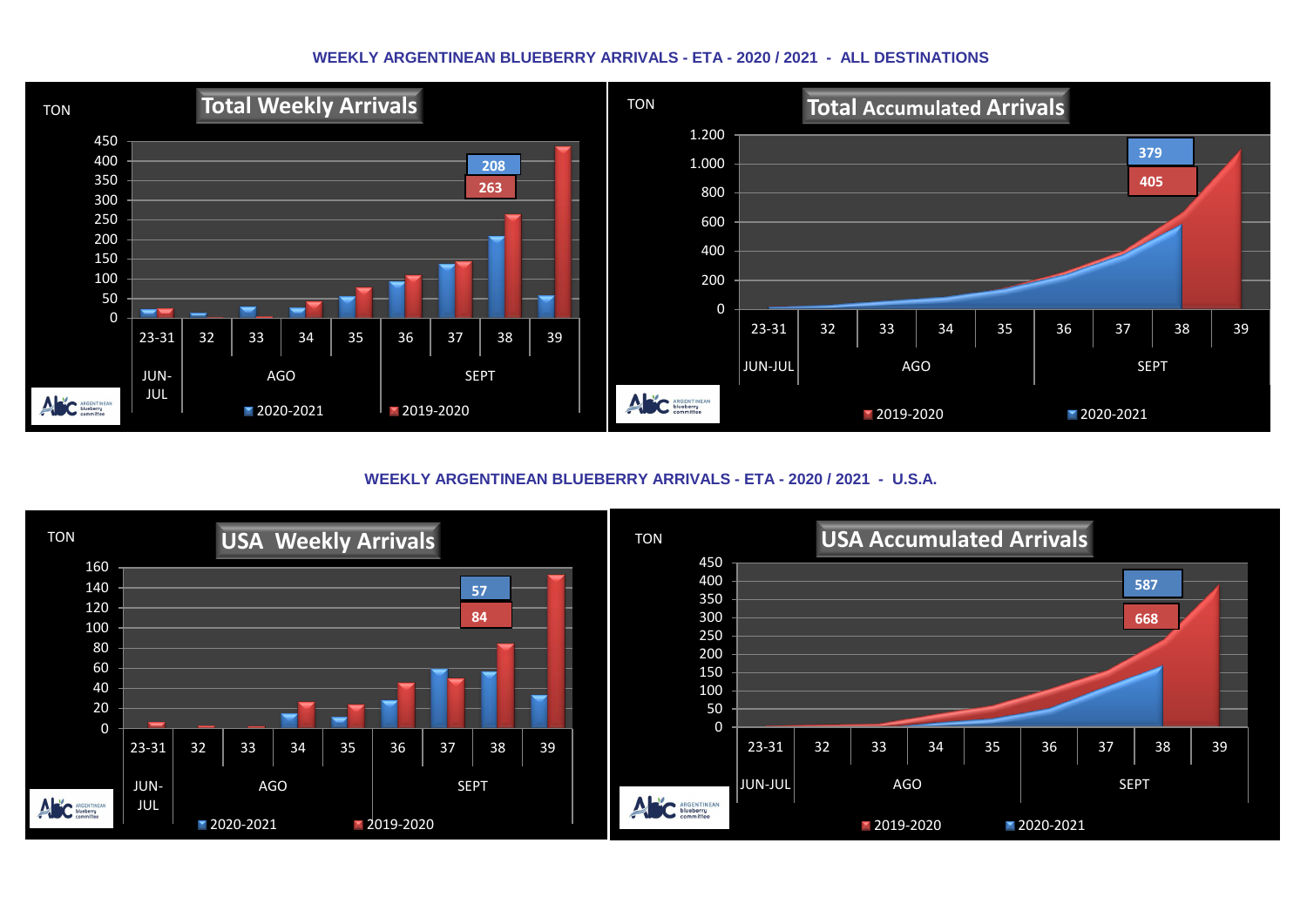#### **WEEKLY ARGENTINEAN BLUEBERRY ARRIVALS - ETA - 2020 / 2021 - ALL DESTINATIONS**



**WEEKLY ARGENTINEAN BLUEBERRY ARRIVALS - ETA - 2020 / 2021 - U.S.A.**

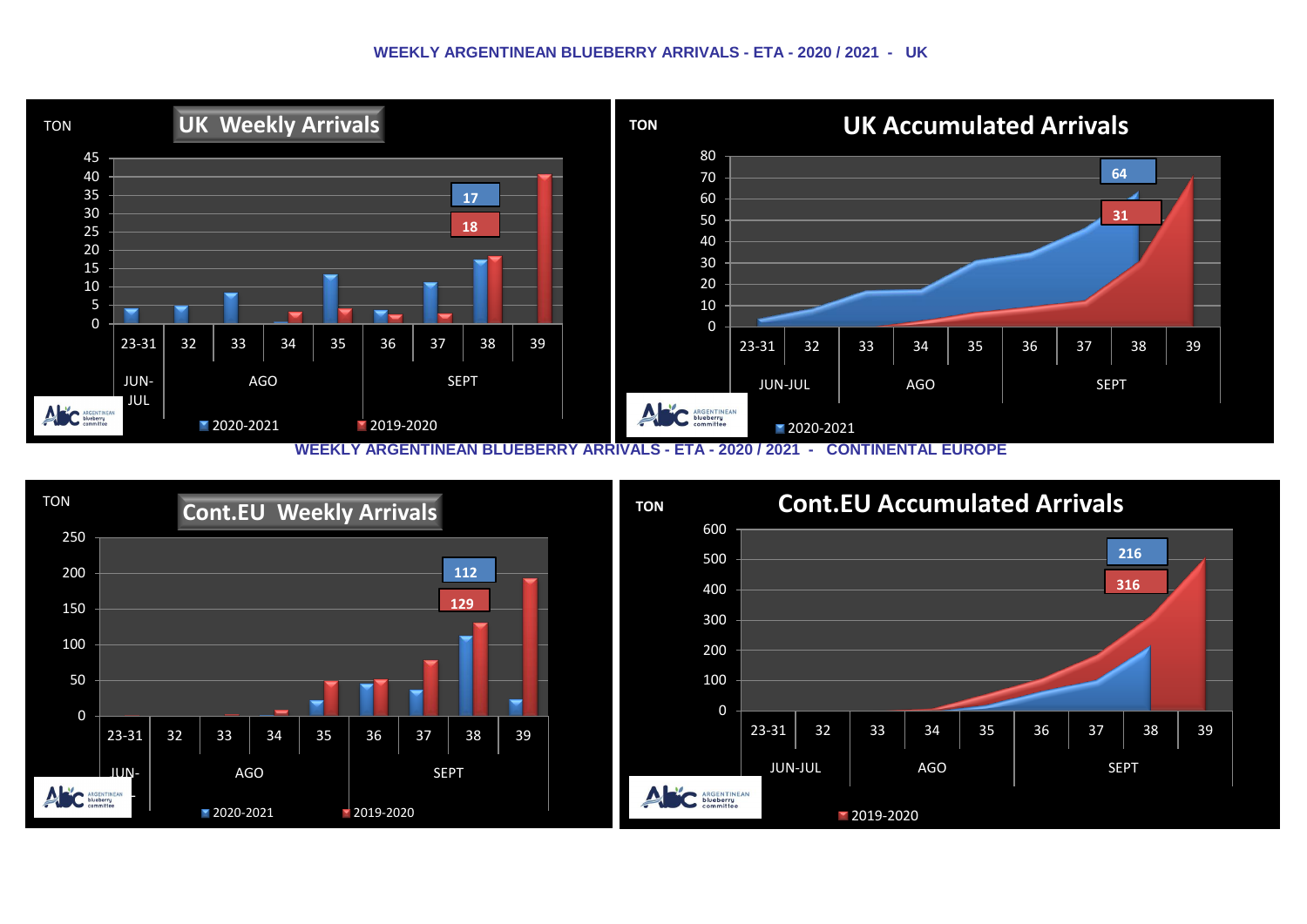#### **WEEKLY ARGENTINEAN BLUEBERRY ARRIVALS - ETA - 2020 / 2021 - UK**



**WEEKLY ARGENTINEAN BLUEBERRY ARRIVALS - ETA - 2020 / 2021 - CONTINENTAL EUROPE**